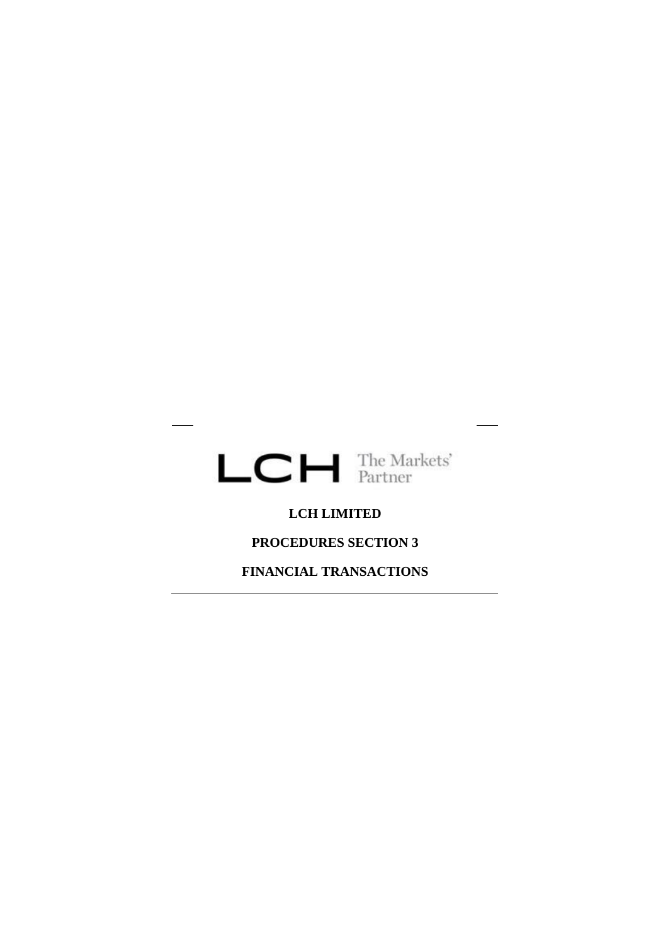

 $\overline{\phantom{a}}$ 

### **LCH LIMITED**

# **PROCEDURES SECTION 3**

**FINANCIAL TRANSACTIONS**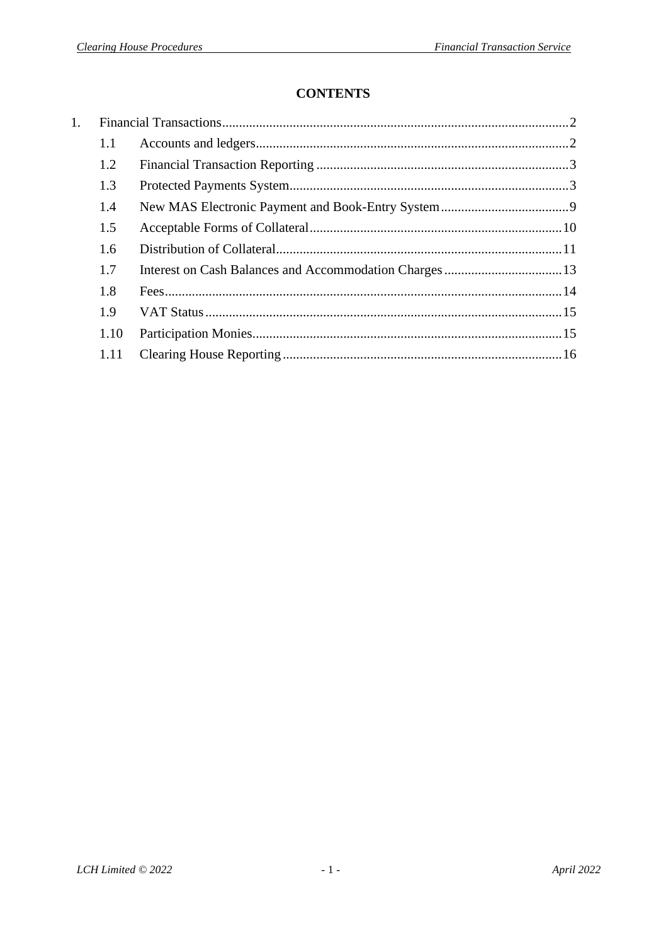# **CONTENTS**

<span id="page-1-0"></span>

| 1. |      |  |
|----|------|--|
|    | 1.1  |  |
|    | 1.2  |  |
|    | 1.3  |  |
|    | 1.4  |  |
|    | 1.5  |  |
|    | 1.6  |  |
|    | 1.7  |  |
|    | 1.8  |  |
|    | 1.9  |  |
|    | 1.10 |  |
|    | 1.11 |  |
|    |      |  |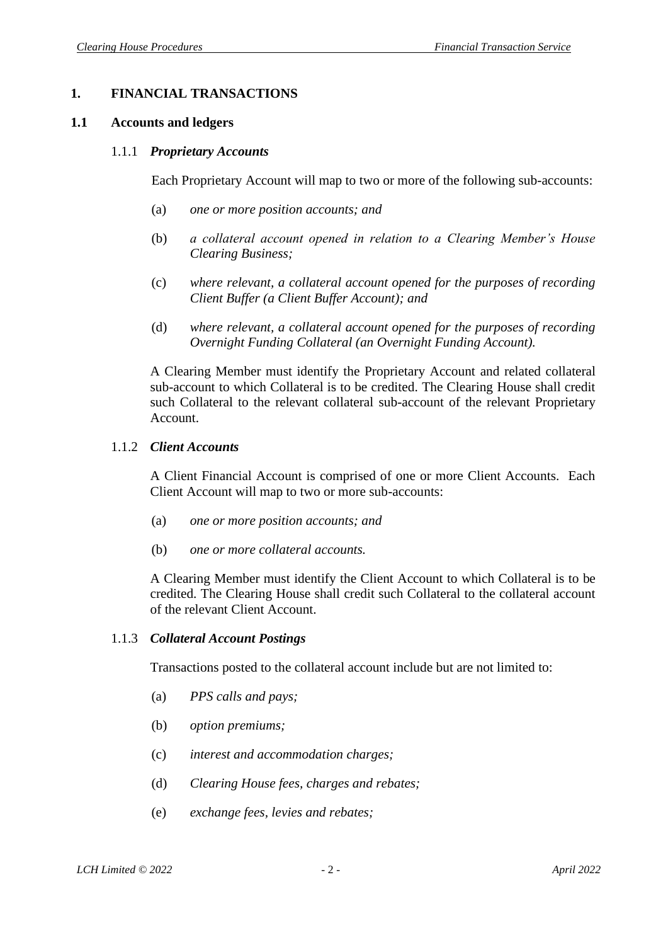### **1. FINANCIAL TRANSACTIONS**

#### <span id="page-2-0"></span>**1.1 Accounts and ledgers**

#### 1.1.1 *Proprietary Accounts*

Each Proprietary Account will map to two or more of the following sub-accounts:

- (a) *one or more position accounts; and*
- (b) *a collateral account opened in relation to a Clearing Member's House Clearing Business;*
- (c) *where relevant, a collateral account opened for the purposes of recording Client Buffer (a Client Buffer Account); and*
- (d) *where relevant, a collateral account opened for the purposes of recording Overnight Funding Collateral (an Overnight Funding Account).*

A Clearing Member must identify the Proprietary Account and related collateral sub-account to which Collateral is to be credited. The Clearing House shall credit such Collateral to the relevant collateral sub-account of the relevant Proprietary Account.

#### 1.1.2 *Client Accounts*

A Client Financial Account is comprised of one or more Client Accounts. Each Client Account will map to two or more sub-accounts:

- (a) *one or more position accounts; and*
- (b) *one or more collateral accounts.*

A Clearing Member must identify the Client Account to which Collateral is to be credited. The Clearing House shall credit such Collateral to the collateral account of the relevant Client Account.

#### 1.1.3 *Collateral Account Postings*

Transactions posted to the collateral account include but are not limited to:

- (a) *PPS calls and pays;*
- (b) *option premiums;*
- (c) *interest and accommodation charges;*
- (d) *Clearing House fees, charges and rebates;*
- (e) *exchange fees, levies and rebates;*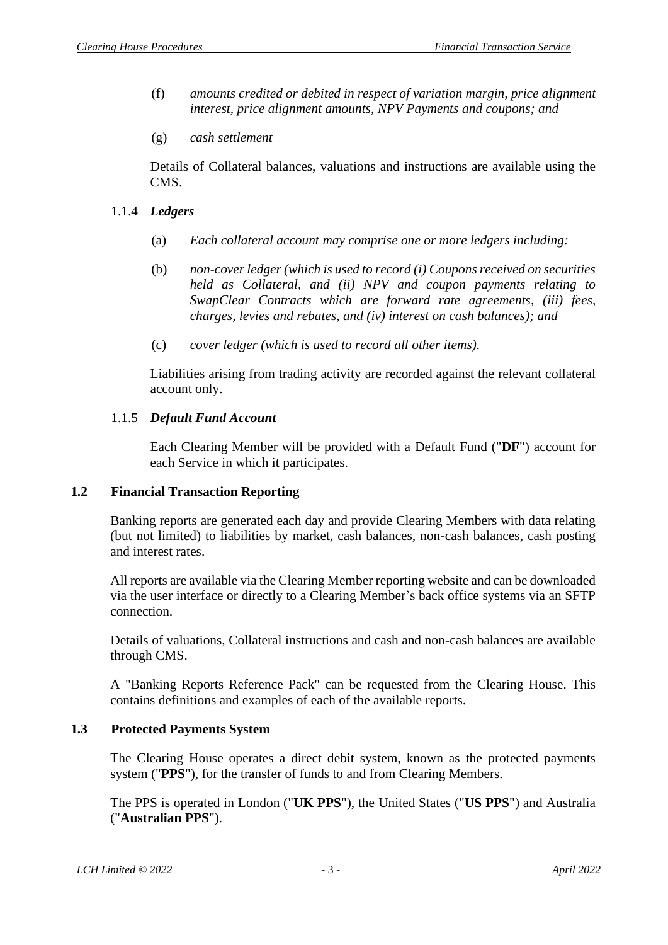- (f) *amounts credited or debited in respect of variation margin, price alignment interest, price alignment amounts, NPV Payments and coupons; and*
- (g) *cash settlement*

Details of Collateral balances, valuations and instructions are available using the CMS.

- 1.1.4 *Ledgers*
	- (a) *Each collateral account may comprise one or more ledgers including:*
	- (b) *non-cover ledger (which is used to record (i) Couponsreceived on securities held as Collateral, and (ii) NPV and coupon payments relating to SwapClear Contracts which are forward rate agreements, (iii) fees, charges, levies and rebates, and (iv) interest on cash balances); and*
	- (c) *cover ledger (which is used to record all other items).*

Liabilities arising from trading activity are recorded against the relevant collateral account only.

### 1.1.5 *Default Fund Account*

Each Clearing Member will be provided with a Default Fund ("**DF**") account for each Service in which it participates.

### <span id="page-3-0"></span>**1.2 Financial Transaction Reporting**

Banking reports are generated each day and provide Clearing Members with data relating (but not limited) to liabilities by market, cash balances, non-cash balances, cash posting and interest rates.

All reports are available via the Clearing Member reporting website and can be downloaded via the user interface or directly to a Clearing Member's back office systems via an SFTP connection.

Details of valuations, Collateral instructions and cash and non-cash balances are available through CMS.

A "Banking Reports Reference Pack" can be requested from the Clearing House. This contains definitions and examples of each of the available reports.

### <span id="page-3-1"></span>**1.3 Protected Payments System**

The Clearing House operates a direct debit system, known as the protected payments system ("**PPS**"), for the transfer of funds to and from Clearing Members.

The PPS is operated in London ("**UK PPS**"), the United States ("**US PPS**") and Australia ("**Australian PPS**").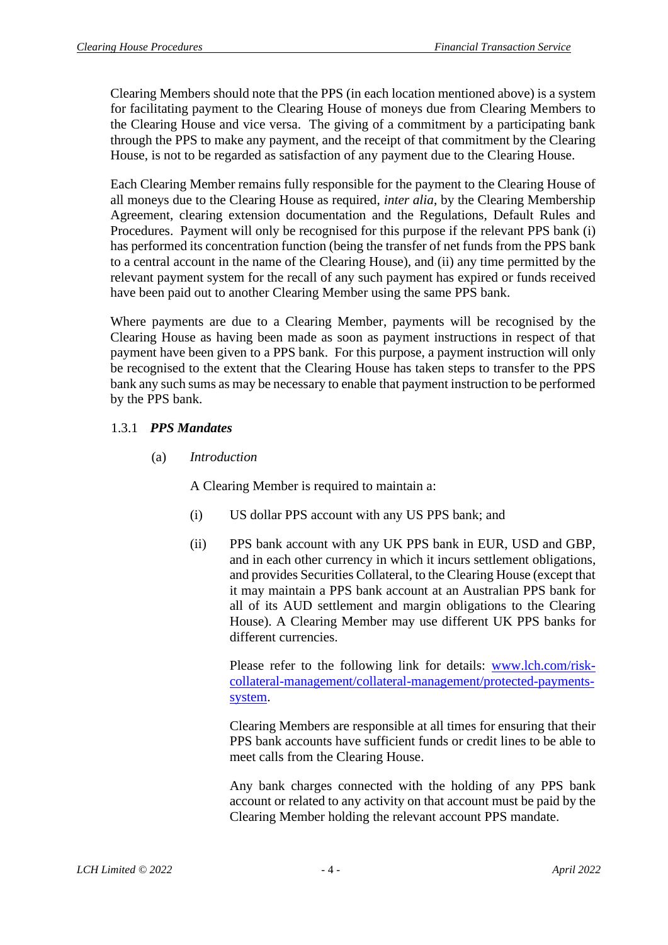Clearing Members should note that the PPS (in each location mentioned above) is a system for facilitating payment to the Clearing House of moneys due from Clearing Members to the Clearing House and vice versa. The giving of a commitment by a participating bank through the PPS to make any payment, and the receipt of that commitment by the Clearing House, is not to be regarded as satisfaction of any payment due to the Clearing House.

Each Clearing Member remains fully responsible for the payment to the Clearing House of all moneys due to the Clearing House as required, *inter alia*, by the Clearing Membership Agreement, clearing extension documentation and the Regulations, Default Rules and Procedures. Payment will only be recognised for this purpose if the relevant PPS bank (i) has performed its concentration function (being the transfer of net funds from the PPS bank to a central account in the name of the Clearing House), and (ii) any time permitted by the relevant payment system for the recall of any such payment has expired or funds received have been paid out to another Clearing Member using the same PPS bank.

Where payments are due to a Clearing Member, payments will be recognised by the Clearing House as having been made as soon as payment instructions in respect of that payment have been given to a PPS bank. For this purpose, a payment instruction will only be recognised to the extent that the Clearing House has taken steps to transfer to the PPS bank any such sums as may be necessary to enable that payment instruction to be performed by the PPS bank.

# 1.3.1 *PPS Mandates*

(a) *Introduction*

A Clearing Member is required to maintain a:

- (i) US dollar PPS account with any US PPS bank; and
- (ii) PPS bank account with any UK PPS bank in EUR, USD and GBP, and in each other currency in which it incurs settlement obligations, and provides Securities Collateral, to the Clearing House (except that it may maintain a PPS bank account at an Australian PPS bank for all of its AUD settlement and margin obligations to the Clearing House). A Clearing Member may use different UK PPS banks for different currencies.

Please refer to the following link for details: [www.lch.com/risk](http://www.lch.com/risk-collateral-management/collateral-management/protected-payments-system)[collateral-management/collateral-management/protected-payments](http://www.lch.com/risk-collateral-management/collateral-management/protected-payments-system)[system.](http://www.lch.com/risk-collateral-management/collateral-management/protected-payments-system)

Clearing Members are responsible at all times for ensuring that their PPS bank accounts have sufficient funds or credit lines to be able to meet calls from the Clearing House.

Any bank charges connected with the holding of any PPS bank account or related to any activity on that account must be paid by the Clearing Member holding the relevant account PPS mandate.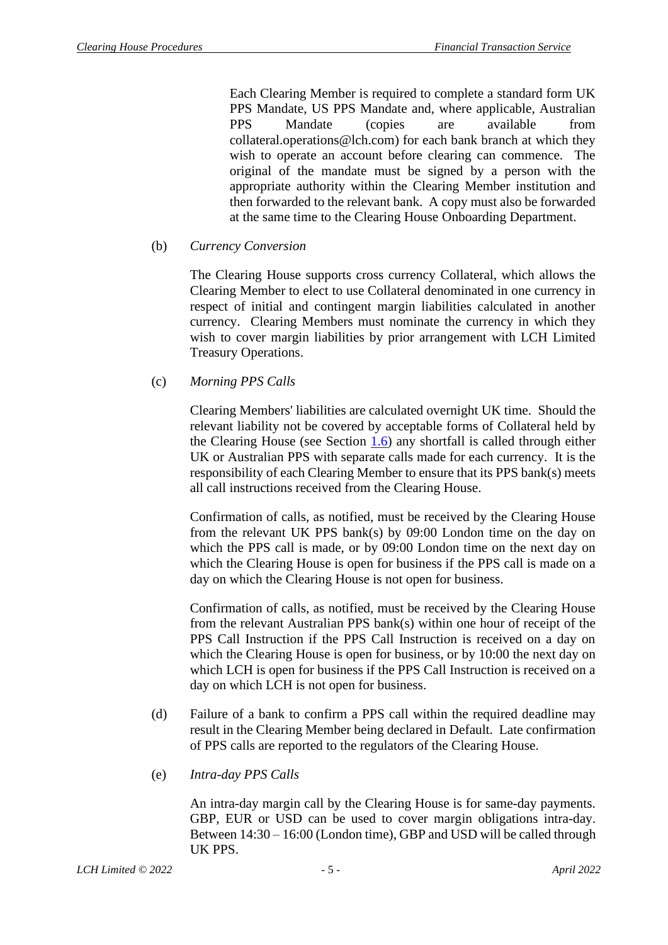Each Clearing Member is required to complete a standard form UK PPS Mandate, US PPS Mandate and, where applicable, Australian PPS Mandate (copies are available from collateral.operations@lch.com) for each bank branch at which they wish to operate an account before clearing can commence. The original of the mandate must be signed by a person with the appropriate authority within the Clearing Member institution and then forwarded to the relevant bank. A copy must also be forwarded at the same time to the Clearing House Onboarding Department.

## (b) *Currency Conversion*

The Clearing House supports cross currency Collateral, which allows the Clearing Member to elect to use Collateral denominated in one currency in respect of initial and contingent margin liabilities calculated in another currency. Clearing Members must nominate the currency in which they wish to cover margin liabilities by prior arrangement with LCH Limited Treasury Operations.

## (c) *Morning PPS Calls*

Clearing Members' liabilities are calculated overnight UK time. Should the relevant liability not be covered by acceptable forms of Collateral held by the Clearing House (see Section  $1.6$ ) any shortfall is called through either UK or Australian PPS with separate calls made for each currency. It is the responsibility of each Clearing Member to ensure that its PPS bank(s) meets all call instructions received from the Clearing House.

Confirmation of calls, as notified, must be received by the Clearing House from the relevant UK PPS bank(s) by 09:00 London time on the day on which the PPS call is made, or by 09:00 London time on the next day on which the Clearing House is open for business if the PPS call is made on a day on which the Clearing House is not open for business.

Confirmation of calls, as notified, must be received by the Clearing House from the relevant Australian PPS bank(s) within one hour of receipt of the PPS Call Instruction if the PPS Call Instruction is received on a day on which the Clearing House is open for business, or by 10:00 the next day on which LCH is open for business if the PPS Call Instruction is received on a day on which LCH is not open for business.

- (d) Failure of a bank to confirm a PPS call within the required deadline may result in the Clearing Member being declared in Default. Late confirmation of PPS calls are reported to the regulators of the Clearing House.
- (e) *Intra-day PPS Calls*

An intra-day margin call by the Clearing House is for same-day payments. GBP, EUR or USD can be used to cover margin obligations intra-day. Between 14:30 – 16:00 (London time), GBP and USD will be called through UK PPS.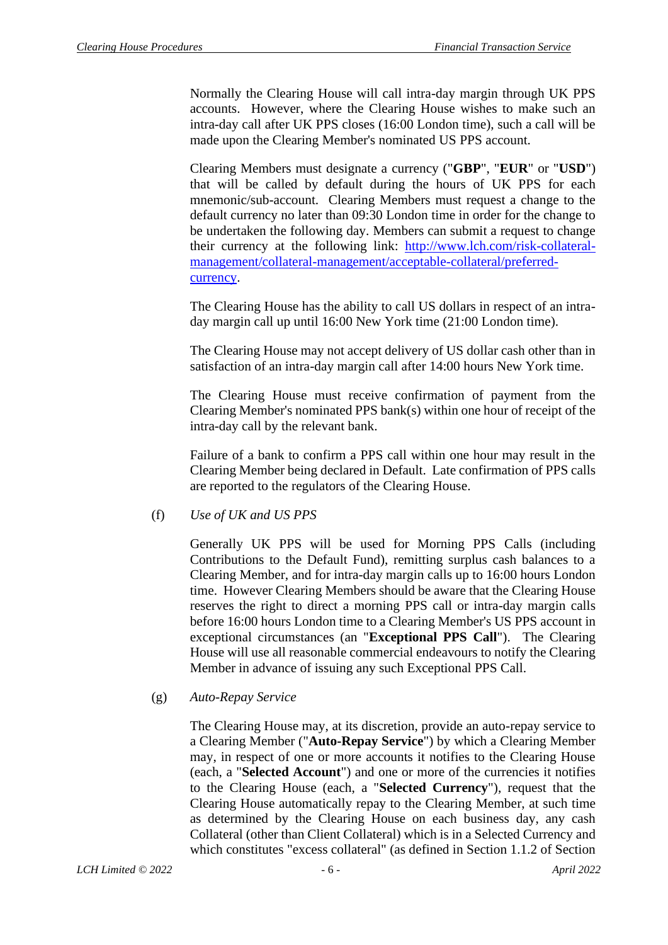Normally the Clearing House will call intra-day margin through UK PPS accounts. However, where the Clearing House wishes to make such an intra-day call after UK PPS closes (16:00 London time), such a call will be made upon the Clearing Member's nominated US PPS account.

Clearing Members must designate a currency ("**GBP**", "**EUR**" or "**USD**") that will be called by default during the hours of UK PPS for each mnemonic/sub-account. Clearing Members must request a change to the default currency no later than 09:30 London time in order for the change to be undertaken the following day. Members can submit a request to change their currency at the following link: [http://www.lch.com/risk-collateral](http://www.lch.com/risk-collateral-management/collateral-management/acceptable-collateral/preferred-currency)[management/collateral-management/acceptable-collateral/preferred](http://www.lch.com/risk-collateral-management/collateral-management/acceptable-collateral/preferred-currency)[currency.](http://www.lch.com/risk-collateral-management/collateral-management/acceptable-collateral/preferred-currency)

The Clearing House has the ability to call US dollars in respect of an intraday margin call up until 16:00 New York time (21:00 London time).

The Clearing House may not accept delivery of US dollar cash other than in satisfaction of an intra-day margin call after 14:00 hours New York time.

The Clearing House must receive confirmation of payment from the Clearing Member's nominated PPS bank(s) within one hour of receipt of the intra-day call by the relevant bank.

Failure of a bank to confirm a PPS call within one hour may result in the Clearing Member being declared in Default. Late confirmation of PPS calls are reported to the regulators of the Clearing House.

### (f) *Use of UK and US PPS*

Generally UK PPS will be used for Morning PPS Calls (including Contributions to the Default Fund), remitting surplus cash balances to a Clearing Member, and for intra-day margin calls up to 16:00 hours London time. However Clearing Members should be aware that the Clearing House reserves the right to direct a morning PPS call or intra-day margin calls before 16:00 hours London time to a Clearing Member's US PPS account in exceptional circumstances (an "**Exceptional PPS Call**"). The Clearing House will use all reasonable commercial endeavours to notify the Clearing Member in advance of issuing any such Exceptional PPS Call.

#### <span id="page-6-0"></span>(g) *Auto-Repay Service*

The Clearing House may, at its discretion, provide an auto-repay service to a Clearing Member ("**Auto-Repay Service**") by which a Clearing Member may, in respect of one or more accounts it notifies to the Clearing House (each, a "**Selected Account**") and one or more of the currencies it notifies to the Clearing House (each, a "**Selected Currency**"), request that the Clearing House automatically repay to the Clearing Member, at such time as determined by the Clearing House on each business day, any cash Collateral (other than Client Collateral) which is in a Selected Currency and which constitutes "excess collateral" (as defined in Section 1.1.2 of Section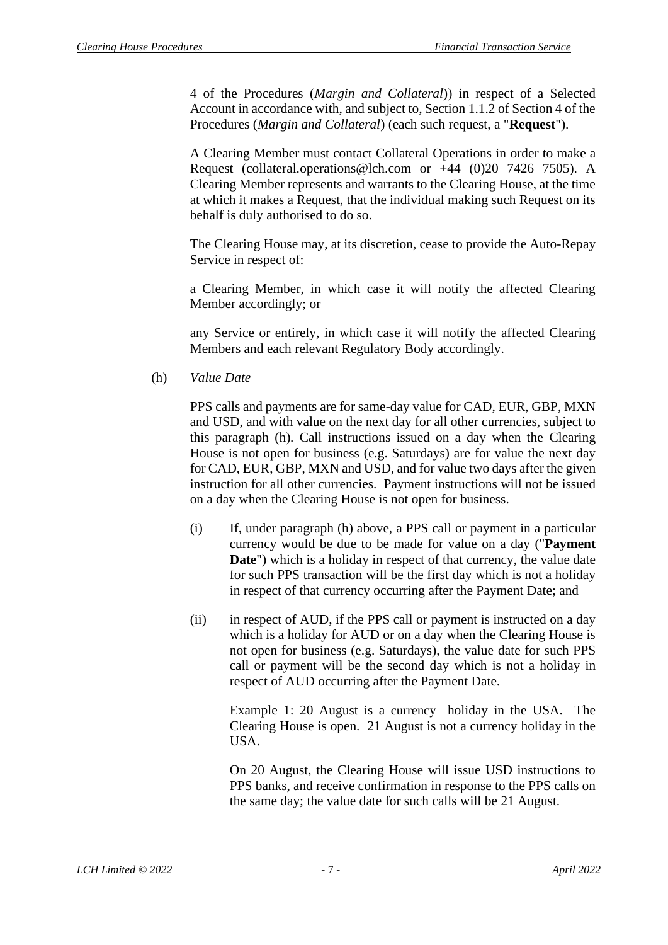4 of the Procedures (*Margin and Collateral*)) in respect of a Selected Account in accordance with, and subject to, Section 1.1.2 of Section 4 of the Procedures (*Margin and Collateral*) (each such request, a "**Request**").

A Clearing Member must contact Collateral Operations in order to make a Request (collateral.operations@lch.com or  $+44$  (0)20 7426 7505). A Clearing Member represents and warrants to the Clearing House, at the time at which it makes a Request, that the individual making such Request on its behalf is duly authorised to do so.

The Clearing House may, at its discretion, cease to provide the Auto-Repay Service in respect of:

a Clearing Member, in which case it will notify the affected Clearing Member accordingly; or

any Service or entirely, in which case it will notify the affected Clearing Members and each relevant Regulatory Body accordingly.

<span id="page-7-0"></span>(h) *Value Date*

PPS calls and payments are for same-day value for CAD, EUR, GBP, MXN and USD, and with value on the next day for all other currencies, subject to this paragraph [\(h\).](#page-7-0) Call instructions issued on a day when the Clearing House is not open for business (e.g. Saturdays) are for value the next day for CAD, EUR, GBP, MXN and USD, and for value two days after the given instruction for all other currencies. Payment instructions will not be issued on a day when the Clearing House is not open for business.

- (i) If, under paragraph [\(h\)](#page-7-0) above, a PPS call or payment in a particular currency would be due to be made for value on a day ("**Payment Date**") which is a holiday in respect of that currency, the value date for such PPS transaction will be the first day which is not a holiday in respect of that currency occurring after the Payment Date; and
- (ii) in respect of AUD, if the PPS call or payment is instructed on a day which is a holiday for AUD or on a day when the Clearing House is not open for business (e.g. Saturdays), the value date for such PPS call or payment will be the second day which is not a holiday in respect of AUD occurring after the Payment Date.

Example 1: 20 August is a currency holiday in the USA. The Clearing House is open. 21 August is not a currency holiday in the USA.

On 20 August, the Clearing House will issue USD instructions to PPS banks, and receive confirmation in response to the PPS calls on the same day; the value date for such calls will be 21 August.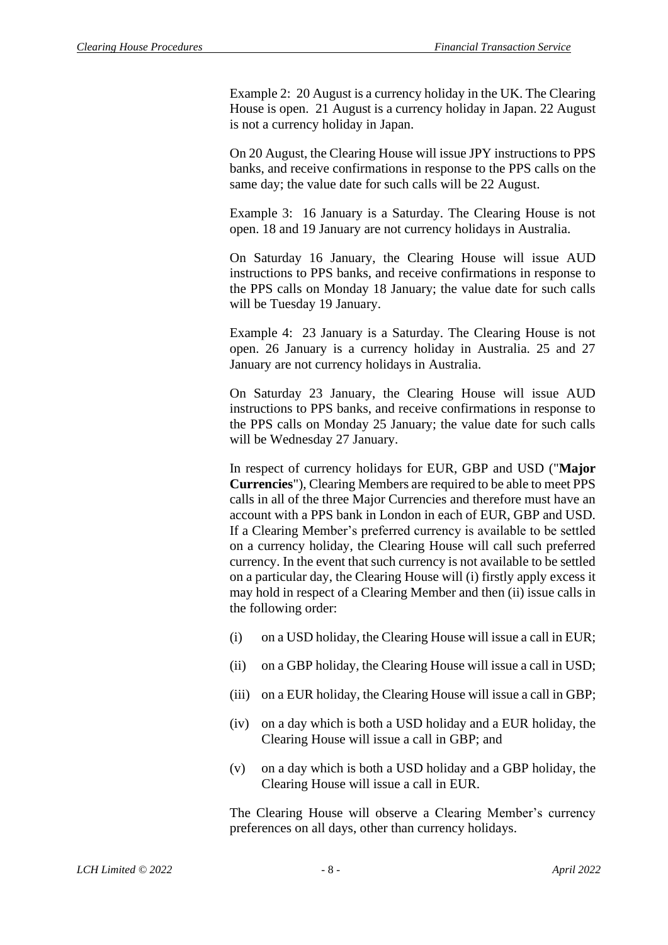Example 2: 20 August is a currency holiday in the UK. The Clearing House is open. 21 August is a currency holiday in Japan. 22 August is not a currency holiday in Japan.

On 20 August, the Clearing House will issue JPY instructions to PPS banks, and receive confirmations in response to the PPS calls on the same day; the value date for such calls will be 22 August.

Example 3: 16 January is a Saturday. The Clearing House is not open. 18 and 19 January are not currency holidays in Australia.

On Saturday 16 January, the Clearing House will issue AUD instructions to PPS banks, and receive confirmations in response to the PPS calls on Monday 18 January; the value date for such calls will be Tuesday 19 January.

Example 4: 23 January is a Saturday. The Clearing House is not open. 26 January is a currency holiday in Australia. 25 and 27 January are not currency holidays in Australia.

On Saturday 23 January, the Clearing House will issue AUD instructions to PPS banks, and receive confirmations in response to the PPS calls on Monday 25 January; the value date for such calls will be Wednesday 27 January.

In respect of currency holidays for EUR, GBP and USD ("**Major Currencies**"), Clearing Members are required to be able to meet PPS calls in all of the three Major Currencies and therefore must have an account with a PPS bank in London in each of EUR, GBP and USD. If a Clearing Member's preferred currency is available to be settled on a currency holiday, the Clearing House will call such preferred currency. In the event that such currency is not available to be settled on a particular day, the Clearing House will (i) firstly apply excess it may hold in respect of a Clearing Member and then (ii) issue calls in the following order:

- (i) on a USD holiday, the Clearing House will issue a call in EUR;
- (ii) on a GBP holiday, the Clearing House will issue a call in USD;
- (iii) on a EUR holiday, the Clearing House will issue a call in GBP;
- (iv) on a day which is both a USD holiday and a EUR holiday, the Clearing House will issue a call in GBP; and
- (v) on a day which is both a USD holiday and a GBP holiday, the Clearing House will issue a call in EUR.

The Clearing House will observe a Clearing Member's currency preferences on all days, other than currency holidays.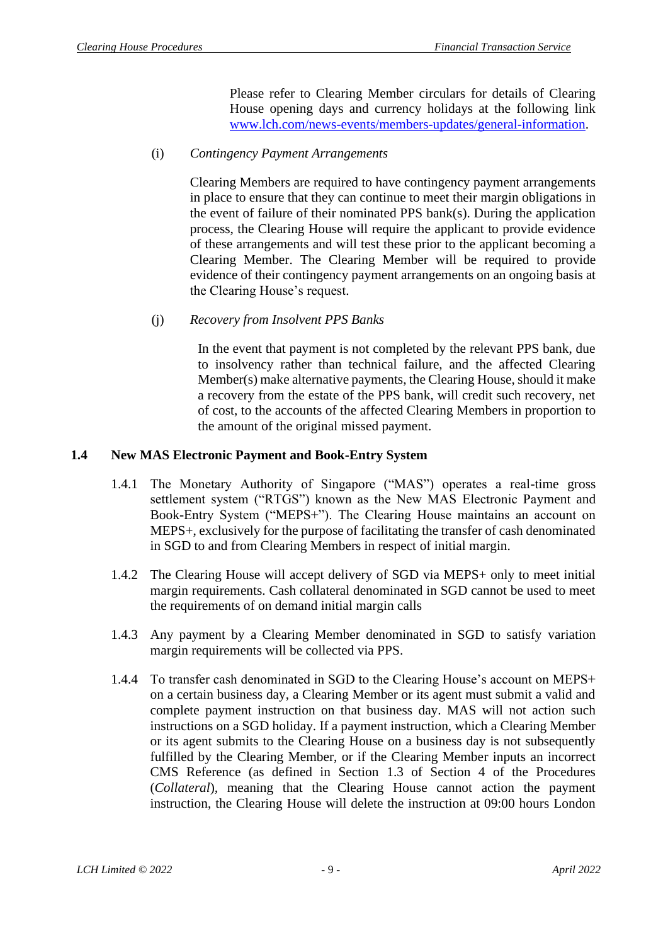Please refer to Clearing Member circulars for details of Clearing House opening days and currency holidays at the following link [www.lch.com/news-events/members-updates/general-information.](file://///filpr1/%23FILPR1/Legal/AAA%20New%20folder%20structure/Rulebook/Rulebook%20(LCH%20Limited)/Procedures%20Section%203/www.lch.com/news-events/members-updates/general-information)

### (i) *Contingency Payment Arrangements*

Clearing Members are required to have contingency payment arrangements in place to ensure that they can continue to meet their margin obligations in the event of failure of their nominated PPS bank(s). During the application process, the Clearing House will require the applicant to provide evidence of these arrangements and will test these prior to the applicant becoming a Clearing Member. The Clearing Member will be required to provide evidence of their contingency payment arrangements on an ongoing basis at the Clearing House's request.

## (j) *Recovery from Insolvent PPS Banks*

In the event that payment is not completed by the relevant PPS bank, due to insolvency rather than technical failure, and the affected Clearing Member(s) make alternative payments, the Clearing House, should it make a recovery from the estate of the PPS bank, will credit such recovery, net of cost, to the accounts of the affected Clearing Members in proportion to the amount of the original missed payment.

## <span id="page-9-0"></span>**1.4 New MAS Electronic Payment and Book-Entry System**

- 1.4.1 The Monetary Authority of Singapore ("MAS") operates a real-time gross settlement system ("RTGS") known as the New MAS Electronic Payment and Book-Entry System ("MEPS+"). The Clearing House maintains an account on MEPS+, exclusively for the purpose of facilitating the transfer of cash denominated in SGD to and from Clearing Members in respect of initial margin.
- 1.4.2 The Clearing House will accept delivery of SGD via MEPS+ only to meet initial margin requirements. Cash collateral denominated in SGD cannot be used to meet the requirements of on demand initial margin calls
- 1.4.3 Any payment by a Clearing Member denominated in SGD to satisfy variation margin requirements will be collected via PPS.
- 1.4.4 To transfer cash denominated in SGD to the Clearing House's account on MEPS+ on a certain business day, a Clearing Member or its agent must submit a valid and complete payment instruction on that business day. MAS will not action such instructions on a SGD holiday. If a payment instruction, which a Clearing Member or its agent submits to the Clearing House on a business day is not subsequently fulfilled by the Clearing Member, or if the Clearing Member inputs an incorrect CMS Reference (as defined in Section 1.3 of Section 4 of the Procedures (*Collateral*)*,* meaning that the Clearing House cannot action the payment instruction, the Clearing House will delete the instruction at 09:00 hours London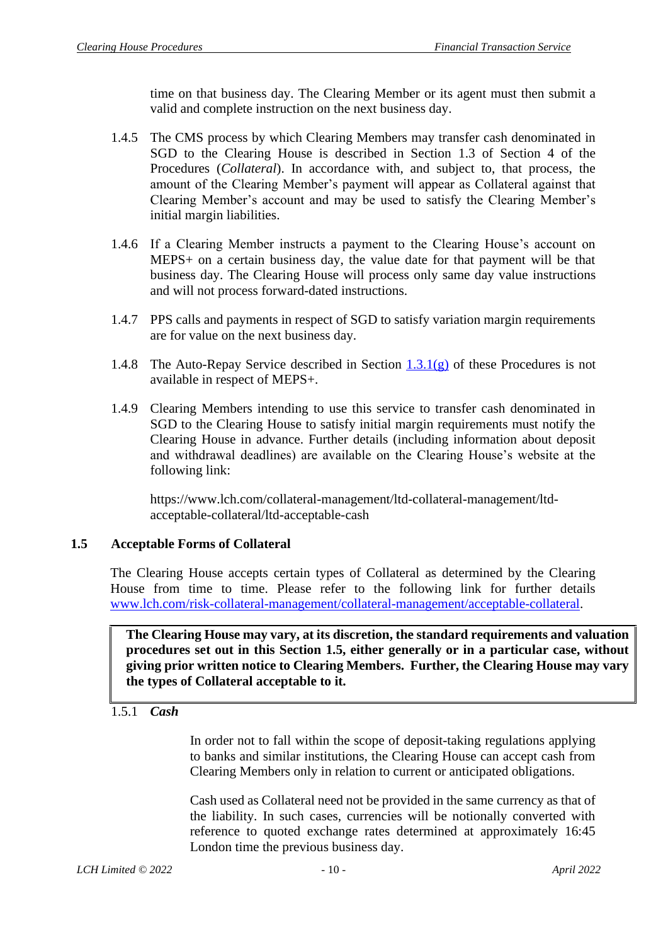time on that business day. The Clearing Member or its agent must then submit a valid and complete instruction on the next business day.

- 1.4.5 The CMS process by which Clearing Members may transfer cash denominated in SGD to the Clearing House is described in Section 1.3 of Section 4 of the Procedures (*Collateral*). In accordance with, and subject to, that process, the amount of the Clearing Member's payment will appear as Collateral against that Clearing Member's account and may be used to satisfy the Clearing Member's initial margin liabilities.
- 1.4.6 If a Clearing Member instructs a payment to the Clearing House's account on MEPS+ on a certain business day, the value date for that payment will be that business day. The Clearing House will process only same day value instructions and will not process forward-dated instructions.
- 1.4.7 PPS calls and payments in respect of SGD to satisfy variation margin requirements are for value on the next business day.
- 1.4.8 The Auto-Repay Service described in Section  $1.3.1(g)$  of these Procedures is not available in respect of MEPS+.
- 1.4.9 Clearing Members intending to use this service to transfer cash denominated in SGD to the Clearing House to satisfy initial margin requirements must notify the Clearing House in advance. Further details (including information about deposit and withdrawal deadlines) are available on the Clearing House's website at the following link:

https://www.lch.com/collateral-management/ltd-collateral-management/ltdacceptable-collateral/ltd-acceptable-cash

# <span id="page-10-0"></span>**1.5 Acceptable Forms of Collateral**

The Clearing House accepts certain types of Collateral as determined by the Clearing House from time to time. Please refer to the following link for further details [www.lch.com/risk-collateral-management/collateral-management/acceptable-collateral.](http://www.lch.com/risk-collateral-management/collateral-management/acceptable-collateral)

**The Clearing House may vary, at its discretion, the standard requirements and valuation procedures set out in this Section 1.5, either generally or in a particular case, without giving prior written notice to Clearing Members. Further, the Clearing House may vary the types of Collateral acceptable to it.**

### 1.5.1 *Cash*

In order not to fall within the scope of deposit-taking regulations applying to banks and similar institutions, the Clearing House can accept cash from Clearing Members only in relation to current or anticipated obligations.

Cash used as Collateral need not be provided in the same currency as that of the liability. In such cases, currencies will be notionally converted with reference to quoted exchange rates determined at approximately 16:45 London time the previous business day.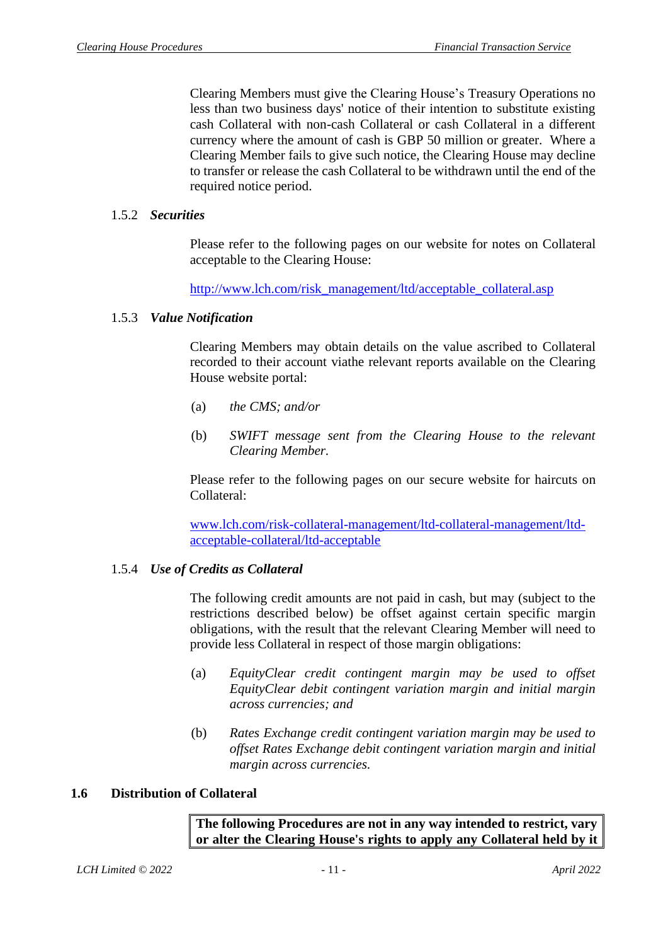Clearing Members must give the Clearing House's Treasury Operations no less than two business days' notice of their intention to substitute existing cash Collateral with non-cash Collateral or cash Collateral in a different currency where the amount of cash is GBP 50 million or greater. Where a Clearing Member fails to give such notice, the Clearing House may decline to transfer or release the cash Collateral to be withdrawn until the end of the required notice period.

## 1.5.2 *Securities*

Please refer to the following pages on our website for notes on Collateral acceptable to the Clearing House:

[http://www.lch.com/risk\\_management/ltd/acceptable\\_collateral.asp](http://www.lch.com/risk_management/ltd/acceptable_collateral.asp)

## 1.5.3 *Value Notification*

Clearing Members may obtain details on the value ascribed to Collateral recorded to their account viathe relevant reports available on the Clearing House website portal:

- (a) *the CMS; and/or*
- (b) *SWIFT message sent from the Clearing House to the relevant Clearing Member.*

Please refer to the following pages on our secure website for haircuts on Collateral:

[www.lch.com/risk-collateral-management/ltd-collateral-management/ltd](www.lch.com/risk-collateral-management/ltd-collateral-management/ltd-acceptable-collateral/ltd-acceptable)[acceptable-collateral/ltd-acceptable](www.lch.com/risk-collateral-management/ltd-collateral-management/ltd-acceptable-collateral/ltd-acceptable)

# 1.5.4 *Use of Credits as Collateral*

The following credit amounts are not paid in cash, but may (subject to the restrictions described below) be offset against certain specific margin obligations, with the result that the relevant Clearing Member will need to provide less Collateral in respect of those margin obligations:

- (a) *EquityClear credit contingent margin may be used to offset EquityClear debit contingent variation margin and initial margin across currencies; and*
- (b) *Rates Exchange credit contingent variation margin may be used to offset Rates Exchange debit contingent variation margin and initial margin across currencies.*

## <span id="page-11-0"></span>**1.6 Distribution of Collateral**

**The following Procedures are not in any way intended to restrict, vary or alter the Clearing House's rights to apply any Collateral held by it**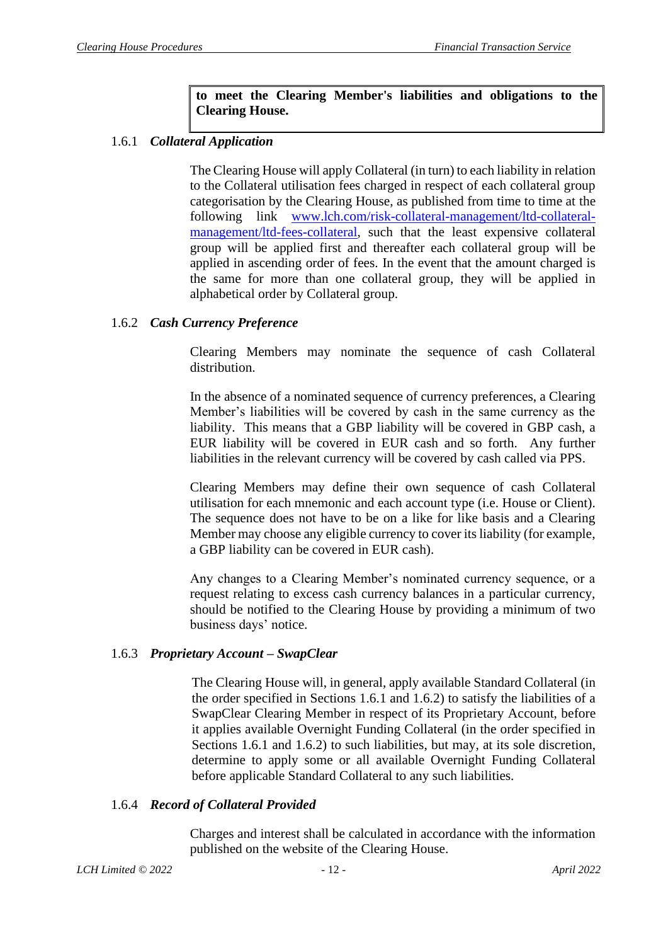**to meet the Clearing Member's liabilities and obligations to the Clearing House.**

# 1.6.1 *Collateral Application*

The Clearing House will apply Collateral (in turn) to each liability in relation to the Collateral utilisation fees charged in respect of each collateral group categorisation by the Clearing House, as published from time to time at the following link [www.lch.com/risk-collateral-management/ltd-collateral](www.lch.com/risk-collateral-management/ltd-collateral-management/ltd-fees-collateral)[management/ltd-fees-collateral,](www.lch.com/risk-collateral-management/ltd-collateral-management/ltd-fees-collateral) such that the least expensive collateral group will be applied first and thereafter each collateral group will be applied in ascending order of fees. In the event that the amount charged is the same for more than one collateral group, they will be applied in alphabetical order by Collateral group.

## 1.6.2 *Cash Currency Preference*

Clearing Members may nominate the sequence of cash Collateral distribution.

In the absence of a nominated sequence of currency preferences, a Clearing Member's liabilities will be covered by cash in the same currency as the liability. This means that a GBP liability will be covered in GBP cash, a EUR liability will be covered in EUR cash and so forth. Any further liabilities in the relevant currency will be covered by cash called via PPS.

Clearing Members may define their own sequence of cash Collateral utilisation for each mnemonic and each account type (i.e. House or Client). The sequence does not have to be on a like for like basis and a Clearing Member may choose any eligible currency to cover its liability (for example, a GBP liability can be covered in EUR cash).

Any changes to a Clearing Member's nominated currency sequence, or a request relating to excess cash currency balances in a particular currency, should be notified to the Clearing House by providing a minimum of two business days' notice.

### 1.6.3 *Proprietary Account – SwapClear*

The Clearing House will, in general, apply available Standard Collateral (in the order specified in Sections 1.6.1 and 1.6.2) to satisfy the liabilities of a SwapClear Clearing Member in respect of its Proprietary Account, before it applies available Overnight Funding Collateral (in the order specified in Sections 1.6.1 and 1.6.2) to such liabilities, but may, at its sole discretion, determine to apply some or all available Overnight Funding Collateral before applicable Standard Collateral to any such liabilities.

### 1.6.4 *Record of Collateral Provided*

Charges and interest shall be calculated in accordance with the information published on the website of the Clearing House.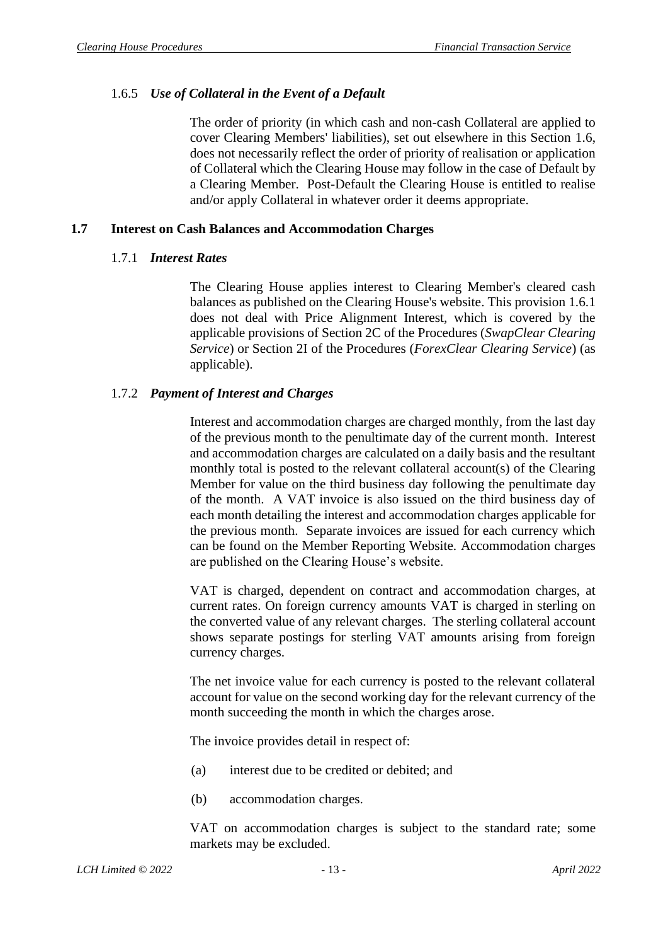### 1.6.5 *Use of Collateral in the Event of a Default*

The order of priority (in which cash and non-cash Collateral are applied to cover Clearing Members' liabilities), set out elsewhere in this Section 1.6, does not necessarily reflect the order of priority of realisation or application of Collateral which the Clearing House may follow in the case of Default by a Clearing Member. Post-Default the Clearing House is entitled to realise and/or apply Collateral in whatever order it deems appropriate.

### <span id="page-13-0"></span>**1.7 Interest on Cash Balances and Accommodation Charges**

### 1.7.1 *Interest Rates*

The Clearing House applies interest to Clearing Member's cleared cash balances as published on the Clearing House's website. This provision 1.6.1 does not deal with Price Alignment Interest, which is covered by the applicable provisions of Section 2C of the Procedures (*SwapClear Clearing Service*) or Section 2I of the Procedures (*ForexClear Clearing Service*) (as applicable).

### 1.7.2 *Payment of Interest and Charges*

Interest and accommodation charges are charged monthly, from the last day of the previous month to the penultimate day of the current month. Interest and accommodation charges are calculated on a daily basis and the resultant monthly total is posted to the relevant collateral account(s) of the Clearing Member for value on the third business day following the penultimate day of the month. A VAT invoice is also issued on the third business day of each month detailing the interest and accommodation charges applicable for the previous month. Separate invoices are issued for each currency which can be found on the Member Reporting Website. Accommodation charges are published on the Clearing House's website.

VAT is charged, dependent on contract and accommodation charges, at current rates. On foreign currency amounts VAT is charged in sterling on the converted value of any relevant charges. The sterling collateral account shows separate postings for sterling VAT amounts arising from foreign currency charges.

The net invoice value for each currency is posted to the relevant collateral account for value on the second working day for the relevant currency of the month succeeding the month in which the charges arose.

The invoice provides detail in respect of:

- (a) interest due to be credited or debited; and
- (b) accommodation charges.

VAT on accommodation charges is subject to the standard rate; some markets may be excluded.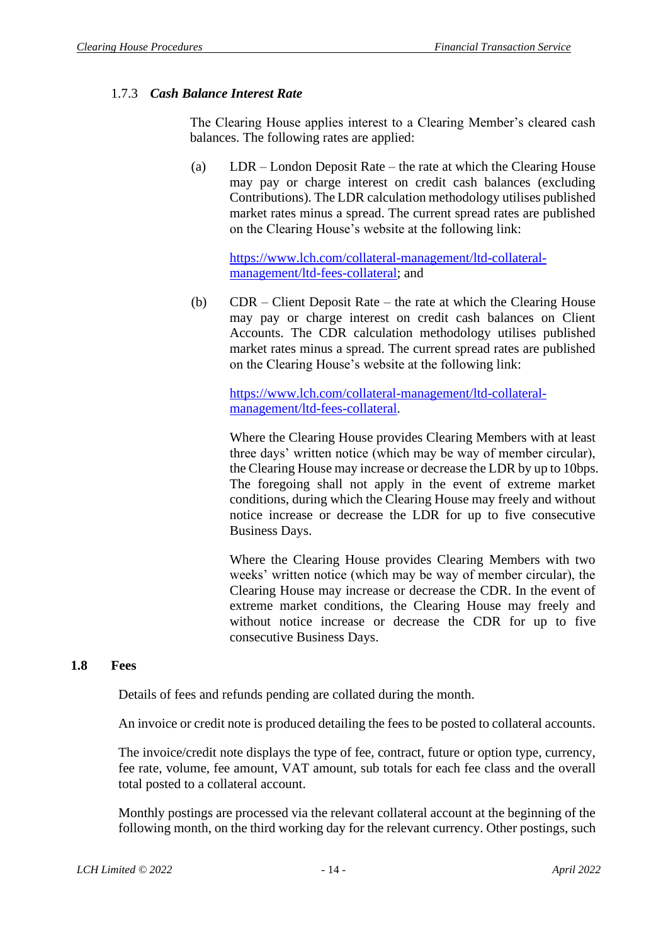### 1.7.3 *Cash Balance Interest Rate*

The Clearing House applies interest to a Clearing Member's cleared cash balances. The following rates are applied:

(a) LDR – London Deposit Rate – the rate at which the Clearing House may pay or charge interest on credit cash balances (excluding Contributions). The LDR calculation methodology utilises published market rates minus a spread. The current spread rates are published on the Clearing House's website at the following link:

[https://www.lch.com/collateral-management/ltd-collateral](https://www.lch.com/collateral-management/ltd-collateral-management/ltd-fees-collateral)[management/ltd-fees-collateral;](https://www.lch.com/collateral-management/ltd-collateral-management/ltd-fees-collateral) and

(b) CDR – Client Deposit Rate – the rate at which the Clearing House may pay or charge interest on credit cash balances on Client Accounts. The CDR calculation methodology utilises published market rates minus a spread. The current spread rates are published on the Clearing House's website at the following link:

[https://www.lch.com/collateral-management/ltd-collateral](https://www.lch.com/collateral-management/ltd-collateral-management/ltd-fees-collateral)[management/ltd-fees-collateral.](https://www.lch.com/collateral-management/ltd-collateral-management/ltd-fees-collateral)

Where the Clearing House provides Clearing Members with at least three days' written notice (which may be way of member circular), the Clearing House may increase or decrease the LDR by up to 10bps. The foregoing shall not apply in the event of extreme market conditions, during which the Clearing House may freely and without notice increase or decrease the LDR for up to five consecutive Business Days.

Where the Clearing House provides Clearing Members with two weeks' written notice (which may be way of member circular), the Clearing House may increase or decrease the CDR. In the event of extreme market conditions, the Clearing House may freely and without notice increase or decrease the CDR for up to five consecutive Business Days.

#### <span id="page-14-0"></span>**1.8 Fees**

Details of fees and refunds pending are collated during the month.

An invoice or credit note is produced detailing the fees to be posted to collateral accounts.

The invoice/credit note displays the type of fee, contract, future or option type, currency, fee rate, volume, fee amount, VAT amount, sub totals for each fee class and the overall total posted to a collateral account.

Monthly postings are processed via the relevant collateral account at the beginning of the following month, on the third working day for the relevant currency. Other postings, such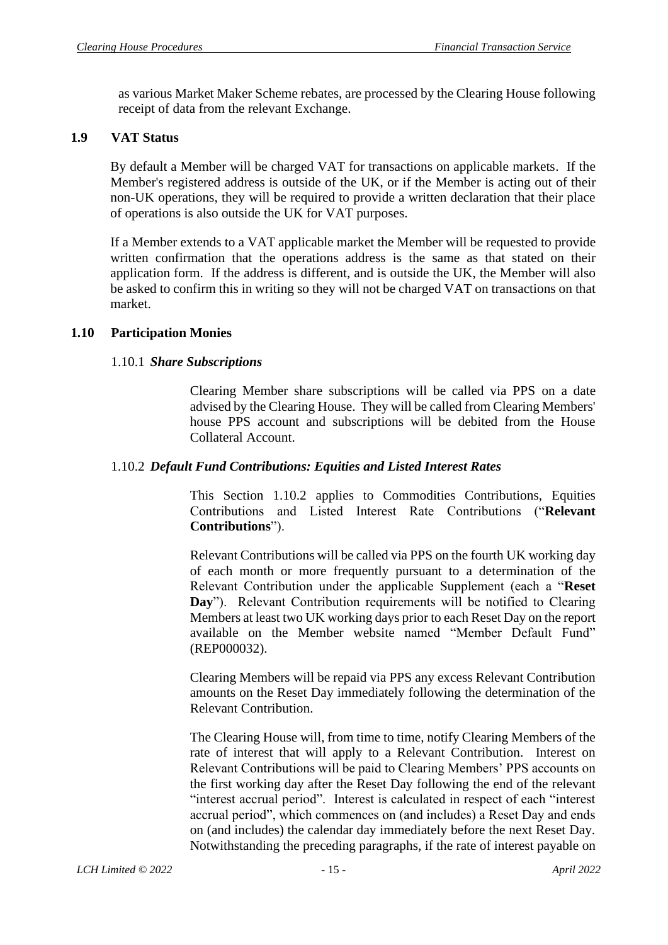as various Market Maker Scheme rebates, are processed by the Clearing House following receipt of data from the relevant Exchange.

### <span id="page-15-0"></span>**1.9 VAT Status**

By default a Member will be charged VAT for transactions on applicable markets. If the Member's registered address is outside of the UK, or if the Member is acting out of their non-UK operations, they will be required to provide a written declaration that their place of operations is also outside the UK for VAT purposes.

If a Member extends to a VAT applicable market the Member will be requested to provide written confirmation that the operations address is the same as that stated on their application form. If the address is different, and is outside the UK, the Member will also be asked to confirm this in writing so they will not be charged VAT on transactions on that market.

### <span id="page-15-1"></span>**1.10 Participation Monies**

### 1.10.1 *Share Subscriptions*

Clearing Member share subscriptions will be called via PPS on a date advised by the Clearing House. They will be called from Clearing Members' house PPS account and subscriptions will be debited from the House Collateral Account.

### 1.10.2 *Default Fund Contributions: Equities and Listed Interest Rates*

This Section 1.10.2 applies to Commodities Contributions, Equities Contributions and Listed Interest Rate Contributions ("**Relevant Contributions**").

Relevant Contributions will be called via PPS on the fourth UK working day of each month or more frequently pursuant to a determination of the Relevant Contribution under the applicable Supplement (each a "**Reset Day**"). Relevant Contribution requirements will be notified to Clearing Members at least two UK working days prior to each Reset Day on the report available on the Member website named "Member Default Fund" (REP000032).

Clearing Members will be repaid via PPS any excess Relevant Contribution amounts on the Reset Day immediately following the determination of the Relevant Contribution.

The Clearing House will, from time to time, notify Clearing Members of the rate of interest that will apply to a Relevant Contribution. Interest on Relevant Contributions will be paid to Clearing Members' PPS accounts on the first working day after the Reset Day following the end of the relevant "interest accrual period". Interest is calculated in respect of each "interest accrual period", which commences on (and includes) a Reset Day and ends on (and includes) the calendar day immediately before the next Reset Day. Notwithstanding the preceding paragraphs, if the rate of interest payable on